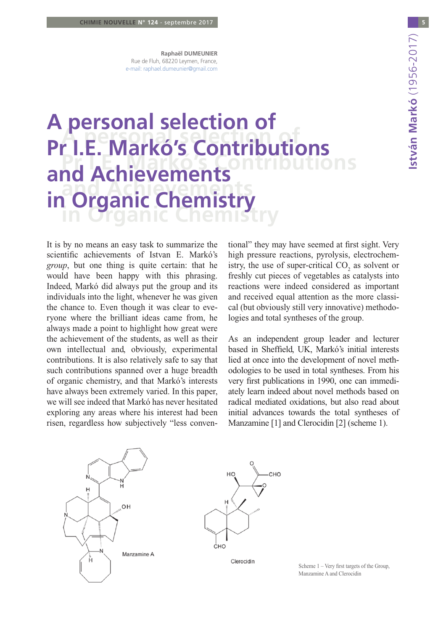**Raphaël DUMEUNIER** Rue de Fluh, 68220 Leymen, France, e-mail: raphael.dumeunier@gmail.com

# **A PERSONAL SELECTION OF Pr I.E. Markó's Contributions Arganic Chamictry in Organic Chemistry A personal selection of Pr I.E. Markó's Contributions and Achievements in Organic Chemistry**

It is by no means an easy task to summarize the scientific achievements of Istvan E. Markó's *group*, but one thing is quite certain: that he would have been happy with this phrasing. Indeed, Markó did always put the group and its individuals into the light, whenever he was given the chance to. Even though it was clear to everyone where the brilliant ideas came from, he always made a point to highlight how great were the achievement of the students, as well as their own intellectual and, obviously, experimental contributions. It is also relatively safe to say that such contributions spanned over a huge breadth of organic chemistry, and that Markó's interests have always been extremely varied. In this paper, we will see indeed that Markó has never hesitated exploring any areas where his interest had been risen, regardless how subjectively "less conven-

tional" they may have seemed at first sight. Very high pressure reactions, pyrolysis, electrochemistry, the use of super-critical  $CO_2$  as solvent or freshly cut pieces of vegetables as catalysts into reactions were indeed considered as important and received equal attention as the more classical (but obviously still very innovative) methodologies and total syntheses of the group.

As an independent group leader and lecturer based in Sheffield, UK, Markó's initial interests lied at once into the development of novel methodologies to be used in total syntheses. From his very first publications in 1990, one can immediately learn indeed about novel methods based on radical mediated oxidations, but also read about initial advances towards the total syntheses of Manzamine [1] and Clerocidin [2] (scheme 1).





Clerocidin

Scheme 1 – Very first targets of the Group, Manzamine A and Clerocidin

**5**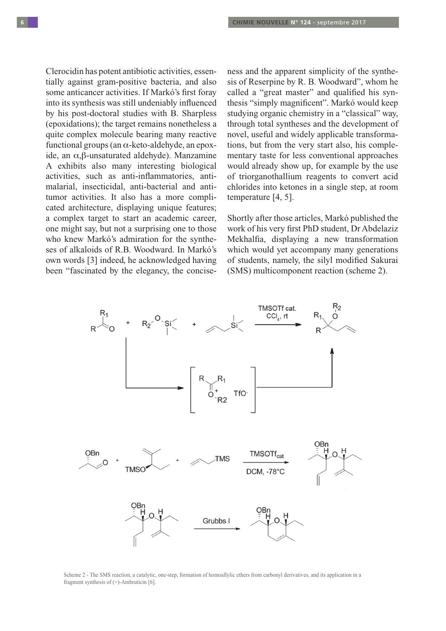Clerocidin has potent antibiotic activities, essentially against gram-positive bacteria, and also some anticancer activities. If Markó's first foray into its synthesis was still undeniably influenced by his post-doctoral studies with B. Sharpless (epoxidations); the target remains nonetheless a quite complex molecule bearing many reactive functional groups (an  $\alpha$ -keto-aldehyde, an epoxide, an  $\alpha$ , $\beta$ -unsaturated aldehyde). Manzamine A exhibits also many interesting biological activities, such as anti-inflammatories, antimalarial, insecticidal, anti-bacterial and antitumor activities. It also has a more complicated architecture, displaying unique features; a complex target to start an academic career, one might say, but not a surprising one to those who knew Markó's admiration for the syntheses of alkaloids of R.B. Woodward. In Markó's own words [3] indeed, he acknowledged having been "fascinated by the elegancy, the conciseness and the apparent simplicity of the synthesis of Reserpine by R. B. Woodward", whom he called a "great master" and qualified his synthesis "simply magnificent". Markó would keep studying organic chemistry in a "classical" way, through total syntheses and the development of novel, useful and widely applicable transformations, but from the very start also, his complementary taste for less conventional approaches would already show up, for example by the use of triorganothallium reagents to convert acid chlorides into ketones in a single step, at room temperature [4, 5].

Shortly after those articles, Markó published the work of his very first PhD student, Dr Abdelaziz Mekhalfia, displaying a new transformation which would yet accompany many generations of students, namely, the silyl modified Sakurai (SMS) multicomponent reaction (scheme 2).



Scheme 2 - The SMS reaction, a catalytic, one-step, formation of homoallylic ethers from carbonyl derivatives, and its application in a fragment synthesis of  $(+)$ -Ambruticin [6].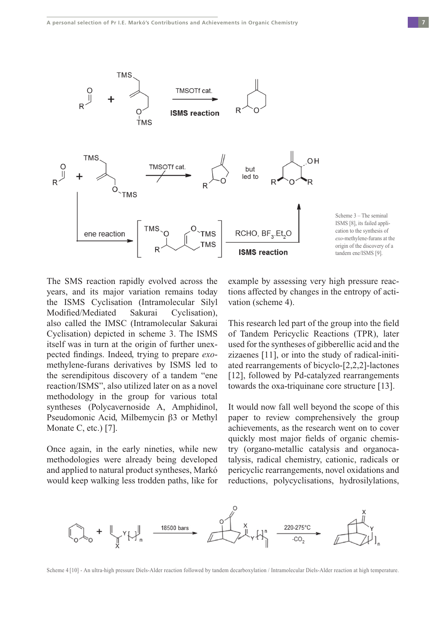

The SMS reaction rapidly evolved across the years, and its major variation remains today the ISMS Cyclisation (Intramolecular Silyl Modified/Mediated Sakurai Cyclisation), also called the IMSC (Intramolecular Sakurai Cyclisation) depicted in scheme 3. The ISMS itself was in turn at the origin of further unexpected findings. Indeed, trying to prepare *exo*methylene-furans derivatives by ISMS led to the serendipitous discovery of a tandem "ene reaction/ISMS", also utilized later on as a novel methodology in the group for various total syntheses (Polycavernoside A, Amphidinol, Pseudomonic Acid, Milbemycin  $\beta$ 3 or Methyl Monate C, etc.) [7].

Once again, in the early nineties, while new methodologies were already being developed and applied to natural product syntheses, Markó would keep walking less trodden paths, like for example by assessing very high pressure reactions affected by changes in the entropy of activation (scheme 4).

This research led part of the group into the field of Tandem Pericyclic Reactions (TPR), later used for the syntheses of gibberellic acid and the zizaenes [11], or into the study of radical-initiated rearrangements of bicyclo-[2,2,2]-lactones [12], followed by Pd-catalyzed rearrangements towards the oxa-triquinane core structure [13].

It would now fall well beyond the scope of this paper to review comprehensively the group achievements, as the research went on to cover quickly most major fields of organic chemistry (organo-metallic catalysis and organocatalysis, radical chemistry, cationic, radicals or pericyclic rearrangements, novel oxidations and reductions, polycyclisations, hydrosilylations,



Scheme 4 [10] - An ultra-high pressure Diels-Alder reaction followed by tandem decarboxylation / Intramolecular Diels-Alder reaction at high temperature.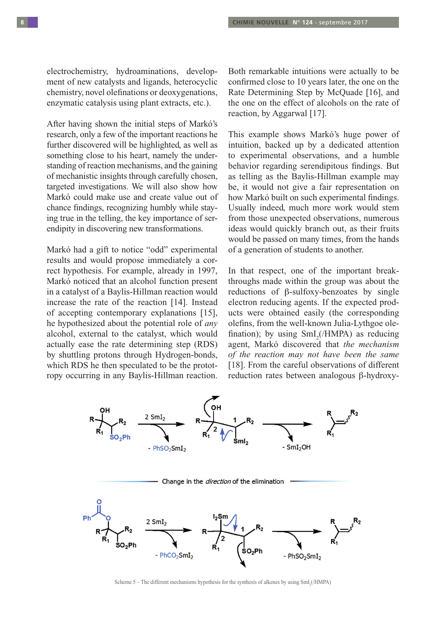electrochemistry, hydroaminations, development of new catalysts and ligands, heterocyclic chemistry, novel olefinations or deoxygenations, enzymatic catalysis using plant extracts, etc.).

After having shown the initial steps of Markó's research, only a few of the important reactions he further discovered will be highlighted, as well as something close to his heart, namely the understanding of reaction mechanisms, and the gaining of mechanistic insights through carefully chosen, targeted investigations. We will also show how Markó could make use and create value out of chance findings, recognizing humbly while staying true in the telling, the key importance of serendipity in discovering new transformations.

Markó had a gift to notice "odd" experimental results and would propose immediately a correct hypothesis. For example, already in 1997, Markó noticed that an alcohol function present in a catalyst of a Baylis-Hillman reaction would increase the rate of the reaction [14]. Instead of accepting contemporary explanations [15], he hypothesized about the potential role of *any* alcohol, external to the catalyst, which would actually ease the rate determining step (RDS) by shuttling protons through Hydrogen-bonds, which RDS he then speculated to be the prototropy occurring in any Baylis-Hillman reaction.

Both remarkable intuitions were actually to be confirmed close to 10 years later, the one on the Rate Determining Step by McQuade [16], and the one on the effect of alcohols on the rate of reaction, by Aggarwal [17].

This example shows Markó's huge power of intuition, backed up by a dedicated attention to experimental observations, and a humble behavior regarding serendipitous findings. But as telling as the Baylis-Hillman example may be, it would not give a fair representation on how Markó built on such experimental findings. Usually indeed, much more work would stem from those unexpected observations, numerous ideas would quickly branch out, as their fruits would be passed on many times, from the hands of a generation of students to another.

In that respect, one of the important breakthroughs made within the group was about the reductions of  $\beta$ -sulfoxy-benzoates by single electron reducing agents. If the expected products were obtained easily (the corresponding olefins, from the well-known Julia-Lythgoe olefination); by using  $\text{SmI}_{2}(\text{/HMPA})$  as reducing agent, Markó discovered that *the mechanism of the reaction may not have been the same* [18]. From the careful observations of different reduction rates between analogous  $\beta$ -hydroxy-



Scheme  $5$  – The different mechanisms hypothesis for the synthesis of alkenes by using  $\text{SmI}_2(\text{HMPA})$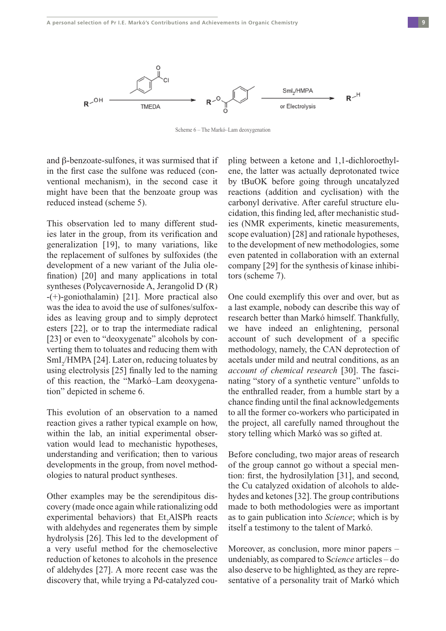

Scheme 6 – The Markó–Lam deoxygenation

and  $\beta$ -benzoate-sulfones, it was surmised that if in the first case the sulfone was reduced (conventional mechanism), in the second case it might have been that the benzoate group was reduced instead (scheme 5).

This observation led to many different studies later in the group, from its verification and generalization [19], to many variations, like the replacement of sulfones by sulfoxides (the development of a new variant of the Julia olefination) [20] and many applications in total syntheses (Polycavernoside A, Jerangolid D (R) -(+)-goniothalamin) [21]. More practical also was the idea to avoid the use of sulfones/sulfoxides as leaving group and to simply deprotect esters [22], or to trap the intermediate radical [23] or even to "deoxygenate" alcohols by converting them to toluates and reducing them with SmI<sub>2</sub>/HMPA [24]. Later on, reducing toluates by using electrolysis [25] finally led to the naming of this reaction, the "Markó–Lam deoxygenation" depicted in scheme 6.

This evolution of an observation to a named reaction gives a rather typical example on how, within the lab, an initial experimental observation would lead to mechanistic hypotheses, understanding and verification; then to various developments in the group, from novel methodologies to natural product syntheses.

Other examples may be the serendipitous discovery (made once again while rationalizing odd experimental behaviors) that  $Et<sub>2</sub>AISPh$  reacts with aldehydes and regenerates them by simple hydrolysis [26]. This led to the development of a very useful method for the chemoselective reduction of ketones to alcohols in the presence of aldehydes [27]. A more recent case was the discovery that, while trying a Pd-catalyzed cou-

pling between a ketone and 1,1-dichloroethylene, the latter was actually deprotonated twice by tBuOK before going through uncatalyzed reactions (addition and cyclisation) with the carbonyl derivative. After careful structure elucidation, this finding led, after mechanistic studies (NMR experiments, kinetic measurements, scope evaluation) [28] and rationale hypotheses, to the development of new methodologies, some even patented in collaboration with an external company [29] for the synthesis of kinase inhibitors (scheme 7).

One could exemplify this over and over, but as a last example, nobody can describe this way of research better than Markó himself. Thankfully, we have indeed an enlightening, personal account of such development of a specific methodology, namely, the CAN deprotection of acetals under mild and neutral conditions, as an *account of chemical research* [30]. The fascinating "story of a synthetic venture" unfolds to the enthralled reader, from a humble start by a chance finding until the final acknowledgements to all the former co-workers who participated in the project, all carefully named throughout the story telling which Markó was so gifted at.

Before concluding, two major areas of research of the group cannot go without a special mention: first, the hydrosilylation [31], and second, the Cu catalyzed oxidation of alcohols to aldehydes and ketones [32]. The group contributions made to both methodologies were as important as to gain publication into *Science*; which is by itself a testimony to the talent of Markó.

Moreover, as conclusion, more minor papers – undeniably, as compared to S*cience* articles – do also deserve to be highlighted, as they are representative of a personality trait of Markó which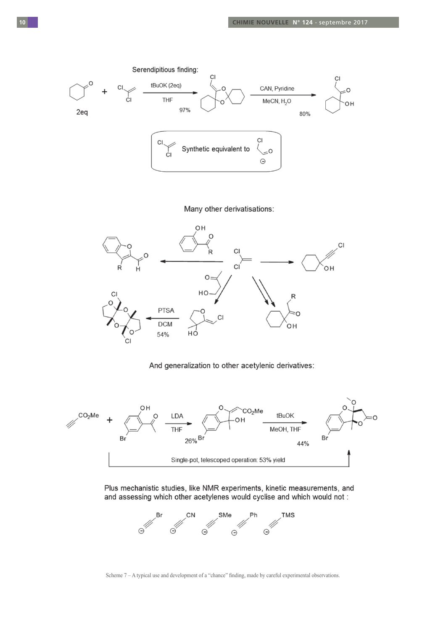

## Many other derivatisations:



### And generalization to other acetylenic derivatives:



Plus mechanistic studies, like NMR experiments, kinetic measurements, and and assessing which other acetylenes would cyclise and which would not:



Scheme 7 – A typical use and development of a "chance" finding, made by careful experimental observations.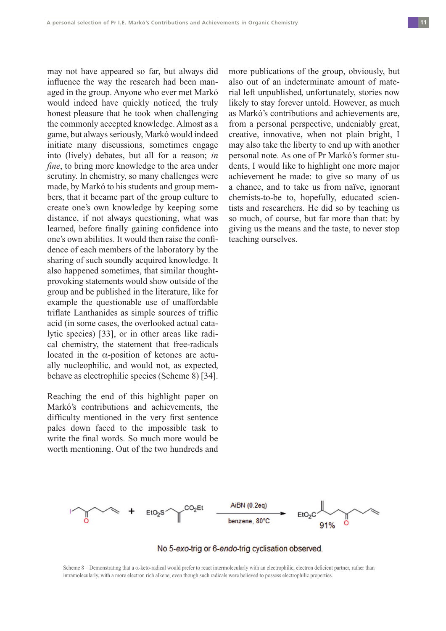may not have appeared so far, but always did influence the way the research had been managed in the group. Anyone who ever met Markó would indeed have quickly noticed, the truly honest pleasure that he took when challenging the commonly accepted knowledge. Almost as a game, but always seriously, Markó would indeed initiate many discussions, sometimes engage into (lively) debates, but all for a reason; *in fine*, to bring more knowledge to the area under scrutiny. In chemistry, so many challenges were made, by Markó to his students and group members, that it became part of the group culture to create one's own knowledge by keeping some distance, if not always questioning, what was learned, before finally gaining confidence into one's own abilities. It would then raise the confidence of each members of the laboratory by the sharing of such soundly acquired knowledge. It also happened sometimes, that similar thoughtprovoking statements would show outside of the group and be published in the literature, like for example the questionable use of unaffordable triflate Lanthanides as simple sources of triflic acid (in some cases, the overlooked actual catalytic species) [33], or in other areas like radical chemistry, the statement that free-radicals located in the  $\alpha$ -position of ketones are actually nucleophilic, and would not, as expected, behave as electrophilic species (Scheme 8) [34].

Reaching the end of this highlight paper on Markó's contributions and achievements, the difficulty mentioned in the very first sentence pales down faced to the impossible task to write the final words. So much more would be worth mentioning. Out of the two hundreds and more publications of the group, obviously, but also out of an indeterminate amount of material left unpublished, unfortunately, stories now likely to stay forever untold. However, as much as Markó's contributions and achievements are, from a personal perspective, undeniably great, creative, innovative, when not plain bright, I may also take the liberty to end up with another personal note. As one of Pr Markó's former students, I would like to highlight one more major achievement he made: to give so many of us a chance, and to take us from naïve, ignorant chemists-to-be to, hopefully, educated scientists and researchers. He did so by teaching us so much, of course, but far more than that: by giving us the means and the taste, to never stop teaching ourselves.



### No 5-exo-trig or 6-endo-trig cyclisation observed.

Scheme 8 – Demonstrating that a  $\alpha$ -keto-radical would prefer to react intermolecularly with an electrophilic, electron deficient partner, rather than intramolecularly, with a more electron rich alkene, even though such radicals were believed to possess electrophilic properties.